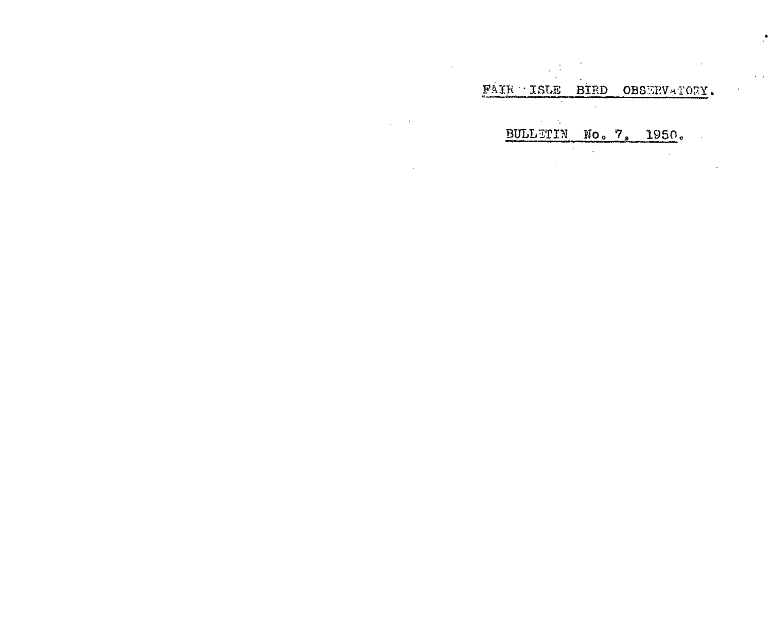FAIR ISLE BIRD OBSERVATORY.  $\ddot{\phantom{a}}$ 

 $\mathcal{L}^{\mathcal{L}}(\mathbf{x})$ 

 $\ddot{\phantom{a}}$ 

 $\sim 10^{-1}$ 

 $\sim$ 

BULLETIN No. 7, 1950. 

 $\mathcal{L}^{\text{max}}_{\text{max}}$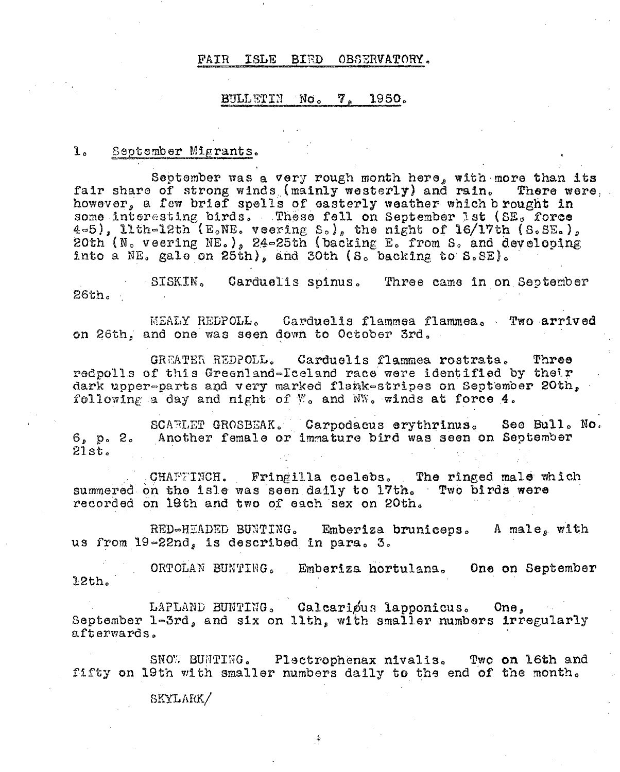#### ISLE BIRD OBSERVATORY. FAIR

# BULLETIN No. 7. 1950.

### l. September Migrants.

September was a very rough month here, with more than its fair share of strong winds (mainly westerly) and rain. There were. however, a few brief spells of easterly weather which b rought in some interesting birds. These fell on September 1st (SE, force 4-5), llth-12th (E.NE. veering  $S_0$ ), the night of 16/17th (S.SE.), 20th (N. veering NE.), 24-25th (backing E. from S. and developing into a NE. gale on 25th), and 30th (S. backing to S.SE).

Carduelis spinus. Three came in on September SISKIN. 26th.

MEALY REDPOLL. Carduelis flammea flammea. Two arrived on 26th, and one was seen down to October 3rd.

GREATER REDPOLL. Carduelis flammea rostrata. Three redpolls of this Greenland-Iceland race were identified by their dark upper-parts and very marked flank-stripes on September 20th, following a day and night of  $\mathbb{V}_o$  and  $\mathbb{W}_o$  winds at force 4.

SCARLET GROSBEAK. Carpodacus erythrinus. See Bull. No. Another female or immature bird was seen on September  $6. p. 2.$  $21st.$ 

CHAFFINCH. Fringilla coelebs. The ringed male which summered on the isle was seen daily to 17th. Two birds were recorded on 19th and two of each sex on 20th.

RED-HEADED BUNTING. Emberiza bruniceps. A male, with us from 19-22nd, is described in para. 3.

ORTOLAN BUNTING. Emberiza hortulana. One on September 12th.

LAPLAND BUNTING. Calcarious lapponicus.  $One.$ September 1-3rd, and six on llth, with smaller numbers irregularly afterwards.

SNOW BUNTING. Plectrophenax nivalis. Two on 16th and fifty on 19th with smaller numbers daily to the end of the month.

SKYLARK/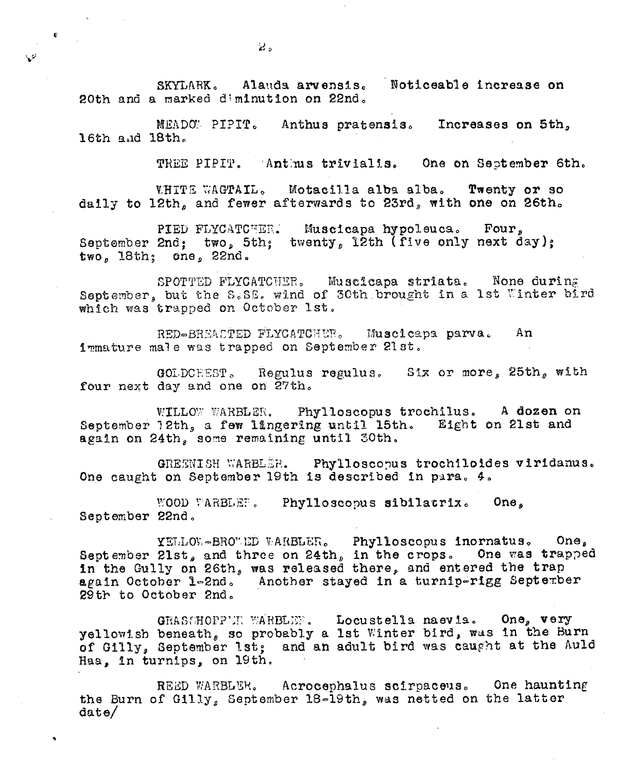Alauda arvensis. Noticeable increase on SKYLARK. 20th and a marked diminution on 22nd.

MEADOW PIPIT. Anthus pratensis. Increases on 5th, 16th and 18th.

> TREE PIPIT. Antius trivialis. One on September 6th.

Motacilla alba alba. Twenty or so **VHITE WAGTAIL.** daily to 12th, and fewer afterwards to 23rd, with one on 26th.

PIED FLYCATCHER. Muscicapa hypoleuca. Four, September 2nd; two, 5th; twenty, 12th (five only next day); two, 18th; one, 22nd.

SPOTTED FLYCATCHER. Muscicapa striata. None during<br>September, but the S.SE. wind of 30th brought in a 1st Winter bird which was trapped on October 1st.

RED-BREACTED FLYCATCHER. Muscicapa parva. An immature male was trapped on September 21st.

GOLDCHEST. Regulus regulus. Six or more, 25th, with four next day and one on 27th.

WILLOW WARBLER. Phylloscopus trochilus. A dozen on September 12th, a few lingering until 15th. Eight on 21st and again on 24th, some remaining until 30th.

GREENISH WARBLER. Phylloscopus trochiloides viridanus. One caught on September 19th is described in para. 4.

WOOD WARBLEF. Phylloscopus sibilatrix. One, September 22nd.

YELLOW-BROWED WARBLER. Phylloscopus inornatus.  $One<sub>a</sub>$ September 21st, and three on 24th, in the crops. One was trapped in the Gully on 26th, was released there, and entered the trap again October 1-2nd. Another stayed in a turnip-rigg September 29th to October 2nd.

Locustella naevia. One, very GRASSHOPP'JE WARBLES, yellowish beneath, so probably a 1st Winter bird, was in the Burn of Gilly, September 1st; and an adult bird was caught at the Auld Haa, in turnips, on 19th.

REED WARBLER. Acrocephalus scirpaceus. One haunting the Burn of Gilly, September 18-19th, was netted on the latter  $_{\text{date}}$ 

 $\hat{\mathbf{c}}$ 

 $\mathcal{Q}$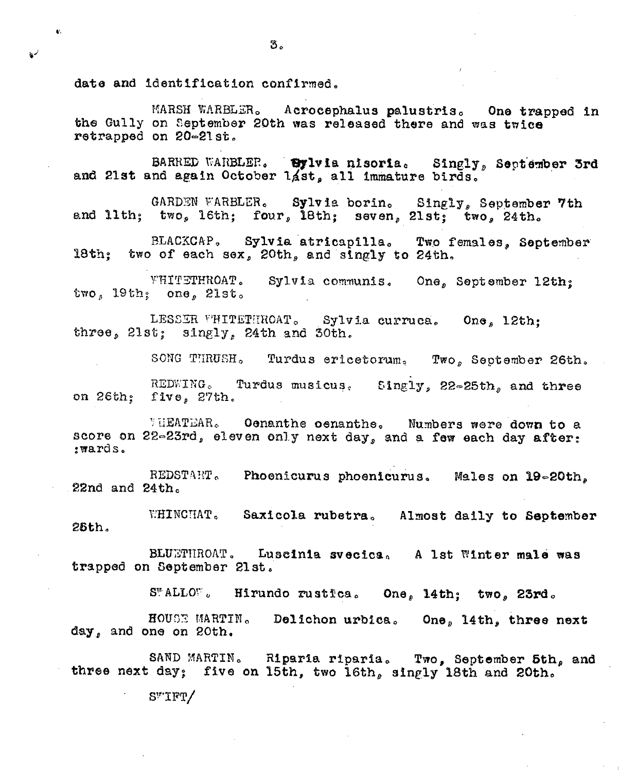date and identification confirmed.

 $\mathbf{C}$ 

 $\mathbf{v}^{\prime}$ 

MARSH WARBLER. Acrocephalus palustris. One trapped in the Gully on September 20th was released there and was twice retrapped on 20-21st.

BARRED WARBLER. Bylvia nisoria. Singly, September 3rd and 21st and again October 14st, all immature birds.

Sylvia borin. GARDEN WARBLER. Singly, September 7th and llth; two, 16th; four, 18th; seven, 21st; two, 24th.

BLACKCAP. Sylvia atricapilla. Two females. September 18th: two of each sex, 20th, and singly to 24th.

WHITETHROAT. Sylvia communis. One, September 12th: two, 19th; one, 21st.

LESSER VHITETHROAT. Sylvia curruca. One, 12th; three, 21st; singly, 24th and 30th.

SONG THRUSH. Turdus ericetorum. Two, September 26th.

REDWING. Turdus musicus. Singly, 22-25th, and three on 26th: five, 27th.

VHEATEAR. Oenanthe oenanthe. Numbers were down to a score on 22-23rd, eleven only next day, and a few each day after: :wards.

REDSTART. Phoenicurus phoenicurus. Males on 19-20th, 22nd and  $24th_c$ 

WHINCHAT. Saxicola rubetra. Almost daily to September  $28th.$ 

BLUETHROAT. Luscinia svecica. A lst Winter male was trapped on September 21st.

S"ALLO". Hirundo rustica. One, 14th; two, 23rd.

HOUSE MARTIN. Delichon urbica. One,  $14th$ , three next day, and one on 20th.

SAND MARTIN. Riparia riparia. Two, September 5th, and three next day; five on 15th, two 16th, singly 18th and 20th.

 $S''TFT/$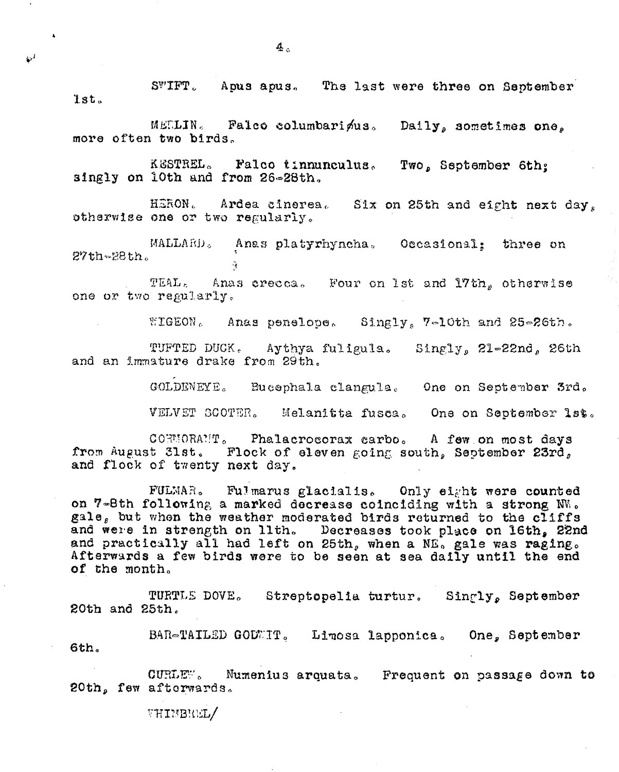SWIFT. Apus apus. The last were three on September lst.

MELLIN. Palco columbari nus. Daily, sometimes one. more often two birds.

KESTREL. Falco tinnunculus. Two, September 6th: singly on 10th and from 26-28th.

Ardea cinerea. Six on 25th and eight next day. HERON. otherwise one or two regularly.

MALLARD. Anas platyrhyncha. Occasional: three on  $27th - 28th$ .  $\mathcal{L}_{\mathbf{f}}$ 

TEAL. Anas crecca. Four on 1st and 17th, otherwise one or two regularly.

WIGEON. Anas penelope. Singly, 7-10th and 25-26th.

TUFTED DUCK. Aythya fuligula. Singly, 21-22nd, 26th and an immature drake from 29th.

GOLDENEYE. Bucephala clangula. One on September 3rd.

VELVET SCOTER. Melanitta fusca. One on September 1st.

CORMORAMT. Phalacrocorax carbo. A few on most days from August 31st. Flock of eleven going south, September 23rd, and flock of twenty next day.

FULMAR. Fulmarus glacialis. Only eight were counted on 7-8th following a marked decrease coinciding with a strong NW. gale, but when the weather moderated birds returned to the cliffs and were in strength on llth. Decreases took place on 16th, 22nd and practically all had left on 25th, when a NE, gale was raging. Afterwards a few birds were to be seen at sea daily until the end of the month.

TURTLE DOVE. Streptopelia turtur. Singly, September 20th and 25th.

BAR-TAILED GODWIT. Limosa lapponica. One, September 6th.

CURLEW. Mumenius arquata. Frequent on passage down to 20th, few afterwards.

**VHIMBREL/** 

 $\bar{\mathcal{Q}}^I$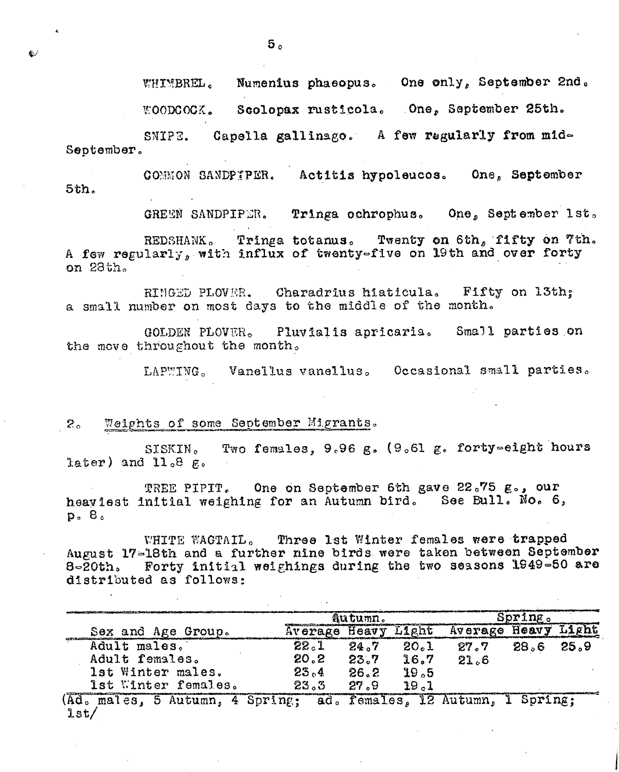あた

 $5<sub>n</sub>$ 

Numenius phaeopus. One only, September 2nd. WHIMBREL. Scolopax rusticola. One, September 25th. **WOODCOCK.** 

SNIPE. Capella gallinago. A few regularly from mid-September.

COMMON SANDPTPER. Actitis hypoleucos. One, September  $5th.$ 

> GREEN SANDPIPER. Tringa ochrophus. One, September 1st.

Tringa totanus. Twenty on 6th, fifty on 7th. REDSHANK. A few regularly, with influx of twenty-five on 19th and over forty on 28th.

RINGED PLOVER. Charadrius hiaticula. Fifty on 13th; a small number on most days to the middle of the month.

GOLDEN PLOVER. Pluvialis apricaria. Small parties on the move throughout the month.

LAPWING. Vanellus vanellus. Occasional small parties.

### Weights of some September Migrants.  $2^{\circ}$

Two females, 9.96 g. (9.61 g. forty=eight hours SISKIN. later) and  $11.8\text{ g}$ .

TREE PIPIT. One on September 6th gave 22.75 g., our heaviest initial weighing for an Autumn bird. See Bull. No. 6,  $p_0$ ,  $B_0$ 

WHITE WAGTAIL. Three Ist Winter females were trapped August 17-18th and a further nine birds were taken between September 8-20th. Forty initial weighings during the two seasons 1949-50 are distributed as follows:

|                                                                   | Autumn.              |      |       | Spring 。 |             |      |
|-------------------------------------------------------------------|----------------------|------|-------|----------|-------------|------|
| Sex and Age Group.                                                | <b>Average Heavy</b> |      | Light | Average  | Heavy Light |      |
| Adult males.                                                      | 22.1                 | 24.7 | 20.1  | 27.7     | 28.6        | 25.9 |
| Adult females.                                                    | 20.2                 | 23.7 | 16.7  | 21.6     |             |      |
| lst Winter males.                                                 | 23.4                 | 26.2 | 19.5  |          |             |      |
| 1st Winter females.                                               | 23.3                 | 27.9 | 19.1  |          |             |      |
| (Ad. males, 5 Autumn, 4 Spring; ad. females, 12 Autumn, 1 Spring; |                      |      |       |          |             |      |
| $l$ st/                                                           |                      |      |       |          |             |      |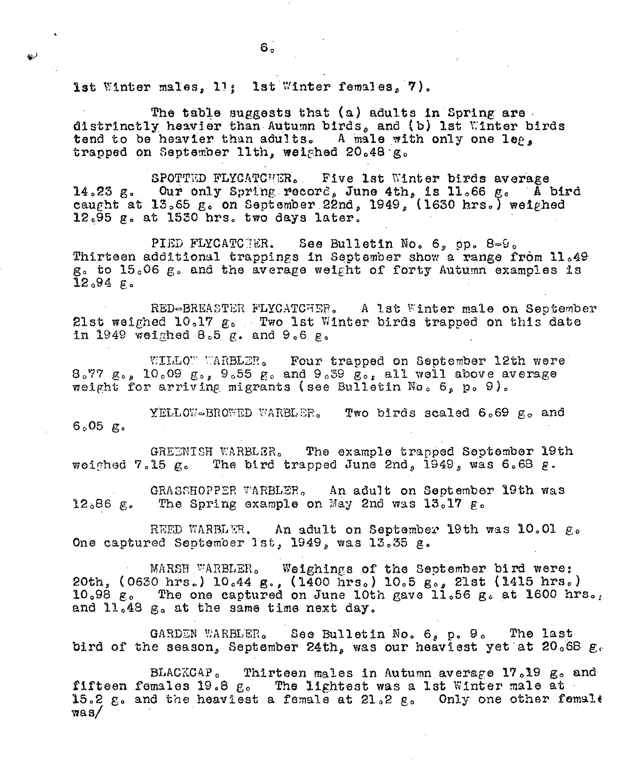1st Winter males, 11: 1st Winter females, 7).

The table suggests that (a) adults in Spring are distrinctly heavier than Autumn birds, and (b) lst Winter birds tend to be heavier than adults. A male with only one leg, trapped on September 11th, weighed 20.48 g.

SPOTTED FLYCATCHER. Five 1st Winter birds average 14.23 g. Our only Spring record, June 4th, is 11.66 g. A bird caught at 13.65 g. on September 22nd, 1949, (1630 hrs.) weighed  $12.95$   $\mu$ . at 1530 hrs. two days later.

PIED FLYCATCTER. See Bulletin No. 6, pp. 8-9. Thirteen additional trappings in September show a range from 11.49 g. to 15.06 g. and the average weight of forty Autumn examples is  $12.94$  g.

RED-BREASTER FLYCATCHER. A 1st Winter male on September 21st weighed 10.17 g. Two 1st Winter birds trapped on this date in 1949 weighed  $\theta_0 5 \epsilon$ , and  $\theta_0 6 \epsilon$ .

WILLOW WARBLER. Four trapped on September 12th were  $8.77 g_{0.8}$  10.09  $g_{0.5}$  9.55  $g_{0.6}$  and 9.39  $g_{0.6}$  all well above average weight for arriving migrants (see Bulletin No. 6, p. 9).

YELLOW-BROWED WARBLER. Two birds scaled 6.69 g. and  $6.05$  g.

GREENISH WARBLER. The example trapped September 19th weighed 7.15  $g_s$ . The bird trapped June 2nd, 1949, was 6.68  $g_s$ .

GRASSHOPPER WARBLER. An adult on September 19th was The Spring example on May 2nd was  $13.17 g$ .  $12,86$  g.

REED WARBLER. An adult on September 19th was 10.01 g. One captured September 1st, 1949, was 13.35 g.

MARSH WARBLER. Weighings of the September bird were: 20th, (0630 hrs.) 10.44 g., (1400 hrs.) 10.5 g., 21st (1415 hrs.) 10.98  $g_o$  The one captured on June 10th gave 11.56  $g_o$  at 1600 hrs. and 11.48 g. at the same time next day.

GARDEN WARBLER. See Bulletin No. 6, p. 9. The last bird of the season, September 24th, was our heaviest yet at 20.68  $g_c$ 

BLACKCAP. Thirteen males in Autumn average 17.19 g. and fifteen females 19.8 g. The lightest was a lst Winter male at 15.2 g. and the heaviest a female at 21.2 g. Only one other female  $\sqrt{28}$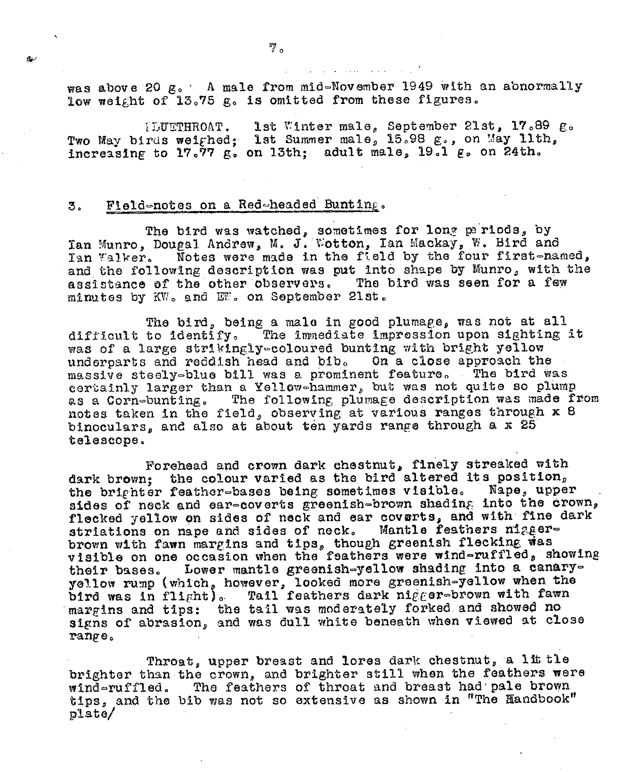was above 20 g. A male from mid-November 1949 with an abnormally low weight of 13.75 g. is omitted from these figures.

1st Winter male, September 21st, 17.89 g. **TLUETHROAT.** Two May birds weighed; lst Summer male, 15.98 g., on May lith, increasing to 17.77 g. on 13th; adult male, 19.1 g. on 24th.

# Field-notes on a Red-headed Bunting. 3.

The bird was watched, sometimes for long pariods, by<br>Ian Munro, Dougal Andrew, M. J. Wotton, Ian Mackay, W. Bird and Ian Walker. Notes were made in the field by the four first-named, and the following description was put into shape by Munro, with the The bird was seen for a few assistance of the other observers. minutes by KW. and EW. on September 21st.

The bird, being a male in good plumage, was not at all difficult to identify. The immediate impression upon sighting it was of a large strikingly=coloured bunting with bright yellow underparts and reddish head and bib. On a close approach the massive steely-blue bill was a prominent feature. The bird was certainly larger than a Yellow-hammer, but was not quite so plump as a Corn-bunting. The following plumage description was made from notes taken in the field, observing at various ranges through x 8 binoculars, and also at about ten yards range through a x 25 telescope.

Forehead and crown dark chestnut, finely streaked with dark brown; the colour varied as the bird altered its position, the brighter feather-bases being sometimes visible. Nape, upper sides of neck and ear-coverts greenish-brown shading into the crown, flecked yellow on sides of neck and ear coverts, and with fine dark striations on nape and sides of neck. Mantle feathers niggerbrown with fawn margins and tips, though greenish flecking was visible on one occasion when the feathers were wind-ruffled, showing their bases. Lower mantle greenish-yellow shading into a canaryyellow rump (which, however, looked more greenish-yellow when the bird was in flight). Tail feathers dark nigger-brown with fawn margins and tips: the tail was moderately forked and showed no signs of abrasion, and was dull white beneath when viewed at close range.

Throat, upper breast and lores dark chestnut, a lit tle brighter than the crown, and brighter still when the feathers were wind-ruffled. The feathers of throat and breast had pale brown tips, and the bib was not so extensive as shown in "The Handbook"  $plate/$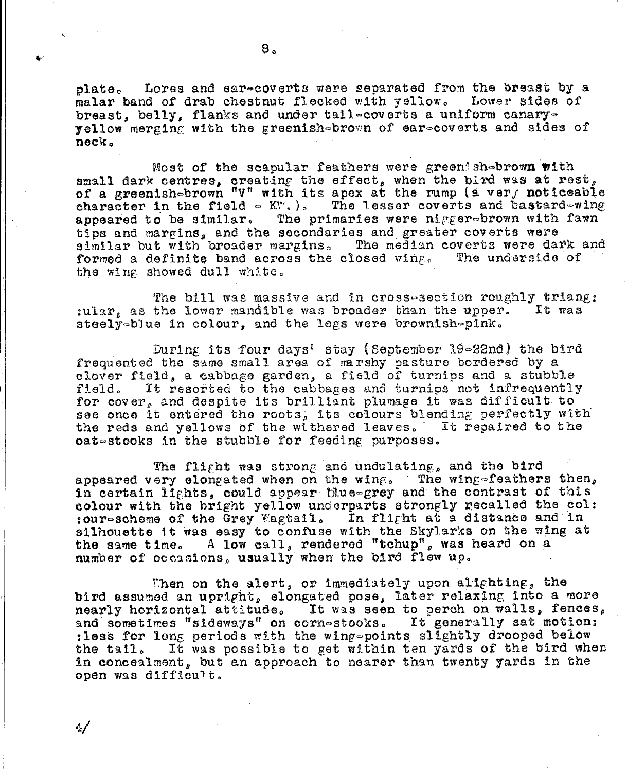Lores and ear-coverts were separated from the breast by a plate. malar band of drab chestnut flecked with yellow. Lower sides of breast, belly, flanks and under tail-coverts a uniform canaryyellow merging with the greenish-brown of ear-coverts and sides of neck.

Most of the scapular feathers were green shebrown with small dark centres, creating the effect, when the bird was at rest, of a greenish-brown "V" with its apex at the rump (a ver, noticeable character in the field  $\sim$  KV.). The lesser coverts and bastard-wing The primaries were nigger-brown with fawn appeared to be similar. tips and margins, and the secondaries and greater coverts were similar but with broader margins. The median coverts were dark and formed a definite band across the closed wing. The underside of the wing showed dull white.

The bill was massive and in cross-section roughly triang: :ular, as the lower mandible was broader than the upper. It was steely-blue in colour, and the legs were brownish-pink.

During its four days' stay (September 19-22nd) the bird frequented the same small area of marshy pasture bordered by a clover field, a cabbage garden, a field of turnips and a stubble It rescried to the cabbages and turnips not infrequently field. for cover, and despite its brilliant plumage it was difficult to see once it entered the roots, its colours blending perfectly with the reds and yellows of the withered leaves. It repaired to the oat-stooks in the stubble for feeding purposes.

The flight was strong and undulating, and the bird appeared very elongated when on the wing. The wing-feathers then, in certain lights, could appear blue-grey and the contrast of this colour with the bright yellow underparts strongly recalled the col: :our-scheme of the Grey Wagtsil. In flight at a distance and in silhoustte it was easy to confuse with the Skylarks on the wing at the same time. A low call, rendered "tchup", was heard on a number of occasions, usually when the bird flew up.

Then on the alert, or immediately upon alighting, the bird assumed an upright, elongated pose, later relaxing into a more nearly horizontal attitude. It was seen to perch on walls, fences, and sometimes "sideways" on cornestooks. It generally sat motion: :less for long periods with the wing-points slightly drooped below the tail. It was possible to get within ten yards of the bird when in concealment, but an approach to nearer than twenty yards in the open was difficult.

4/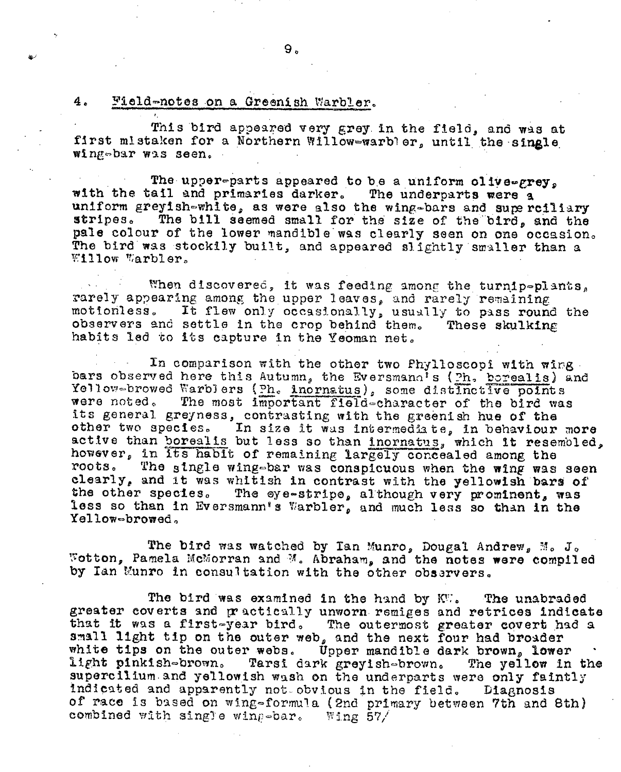### 4. Field-notes on a Greenish Warbler.

This bird appeared very grey in the field, and was at first mistaken for a Northern Willow-warbler, until the single wing-bar was seen.

The upper-parts appeared to be a uniform olive-grey. with the tail and primaries darker. The underparts were a uniform greyish-white, as were also the wing-bars and superciliary The bill seemed small for the size of the bird, and the stripes. pale colour of the lower mandible was clearly seen on one occasion. The bird was stockily built, and appeared slightly smaller than a Willow Warbler.

When discovered, it was feeding among the turnip-plants. rarely appearing among the upper leaves, and rarely remaining motionless. It flew only occasionally, usually to pass round the observers and settle in the crop behind them. These skulking habits led to its capture in the Yeoman net.

In comparison with the other two Phylloscopi with wing. bars observed here this Autumn, the Eversmann's (Ph. borealis) and Yellow-browed Warblers (ph. incrnatus), some distinctive points were noted. The most important field-character of the bird was its general greyness, contrasting with the greenish hue of the other two species. In size it was intermediate, in behaviour more active than borealis but less so than inornatus, which it resemoled, however, in its habit of remaining largely concealed among the The single wing-bar was conspicuous when the wing was seen roots. clearly, and it was whittsh in contrast with the yellowish bars of the other species. The eye-stripe, although very prominent, was less so than in Eversmann's Warbler, and much less so than in the Yellow-browed.

The bird was watched by Ian Munro, Dougal Andrew, M. J. Wotton, Pamela McMorran and M. Abraham, and the notes were compiled by Ian Munro in consultation with the other observers.

The bird was examined in the hand by KW. The unabraded greater coverts and practically unworn remiges and retrices indicate that it was a first-year bird. The outermost greater covert had a small light tip on the outer web, and the next four had broader white tips on the outer webs. Upper mandible dark brown, lower light pinkish-brown. Tarsi dark greyish-brown. The yellow in the supercilium and yellowish wash on the underparts were only faintly indicated and apparently not obvious in the field. Diagnosis of race is based on wing-formula (2nd primary between 7th and 8th) combined with single wing-bar. Wing 57/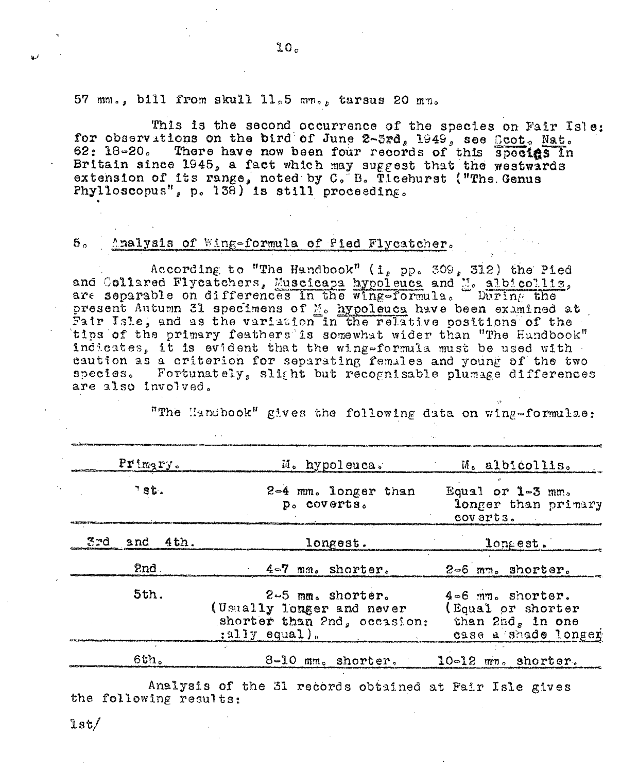57 mm., bill from skull ll.5 mm., tarsus 20 mm.

This is the second occurrence of the species on Fair Isle: for observations on the bird of June 2-3rd, 1949, see Rect. Nat. 62: 18-20. There have now been four records of this species in Britain since 1945, a fact which may suggest that the westwards extension of its range, noted by C. B. Ticehurst ("The Genus Phylloscopus", p. 138) is still proceeding.

### 5. Analysis of Wing-formula of Pied Flycatcher.

According to "The Handbook" (i, pp. 309, 312) the Pied and Collared Flycatchers, Muscicapa hypoleuca and M. albicollis, are separable on differences in the wing-formula. During the present Autumn 31 specimens of M. hypoleuca have been examined at Fair Isle, and as the variation in the relative positions of the tips of the primary feathers is somewhat wider than "The Hundbook" indicates, it is evident that the wing-formula must be used with caution as a criterion for separating females and young of the two species. Fortunately, slight but recognisable plumage differences are also involved.

"The Handbook" gives the following data on wing-formulae:

| $Pr{imgry.}$                                                                                                  | M. hypoleuca.                      | M. albicollis.                                                                   |  |  |  |
|---------------------------------------------------------------------------------------------------------------|------------------------------------|----------------------------------------------------------------------------------|--|--|--|
| 38t.                                                                                                          | 2-4 mm. longer than<br>p. coverts. | Equal or $1-3$ mm.<br>longer than primary<br>coverts.                            |  |  |  |
| and 4th.<br>7 J J                                                                                             | longest.                           | longest.                                                                         |  |  |  |
| 2nd                                                                                                           | 4-7 mm. shorter.                   | 2-6 mm. shorter.                                                                 |  |  |  |
| 5th.<br>$2-5$ mm. shorter.<br>(Usually longer and never<br>shorter than 2nd, occasion:<br>$:$ ally $equal$ ). |                                    | 4-6 mm. shorter.<br>(Equal or shorter<br>than 2nd, in one<br>case a shade longer |  |  |  |
| 6th.                                                                                                          | 8-10 mm. shorter.                  | $10-12$ mm. shorter.                                                             |  |  |  |

Analysis of the 31 records obtained at Fair Isle gives the following results:

lst/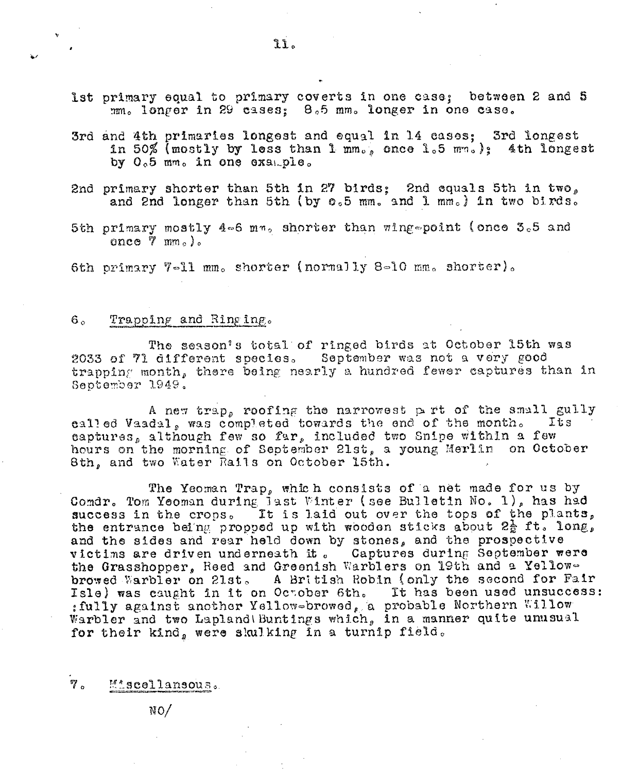- 3rd and 4th primaries longest and equal in 14 cases; 3rd longest in 50% (mostly by less than 1 mm., once 1.5 mm.): 4th longest by 0.5 mm. in one example.
- 2nd primary shorter than 5th in 27 birds; 2nd equals 5th in two, and 2nd longer than 5th (by 0.5 mm. and 1 mm.) in two birds.
- 5th primary mostly 4-6 mm, shorter than wing-point (once 3.5 and once  $\bar{7}$  mm.).

6th primary 7-11 mm. shorter (normally 8-10 mm. shorter).

# Trapping and Ringing.  $6<sub>a</sub>$

The season's total of ringed birds at October 15th was 2033 of 71 different species. September was not a very good trapping month, there being nearly a hundred fewer captures than in September 1949.

A new trap, roofing the narrowest part of the small gully called Vaadal, was completed towards the end of the month. Its captures, although few so far, included two Snipe within a few hours on the morning of September 21st, a young Merlin on October 8th, and two Water Rails on October 15th.

The Yeoman Trap, which consists of a net made for us by Comdr. Tom Yeoman during jast Winter (see Bulletin No. 1), has had success in the crops. It is laid out over the tops of the plants, the entrance being propped up with wooden sticks about  $2\frac{1}{2}$  ft. long, and the sides and rear held down by stones, and the prospective victims are driven underneath it. Captures during September were the Grasshopper, Reed and Greenish Warblers on 19th and a Yellowbrowed Warbler on 21st. A British Robin (only the second for Fair<br>Isle) was caught in it on October 6th. It has been used unsuccess: : fully against another Yellow-browed, a probable Northern Willow Warbler and two Lapland Buntings which, in a manner quite unusual for their kind, were skulking in a turnip field.

 $7\,$ Mascellansous.

 $NO/$